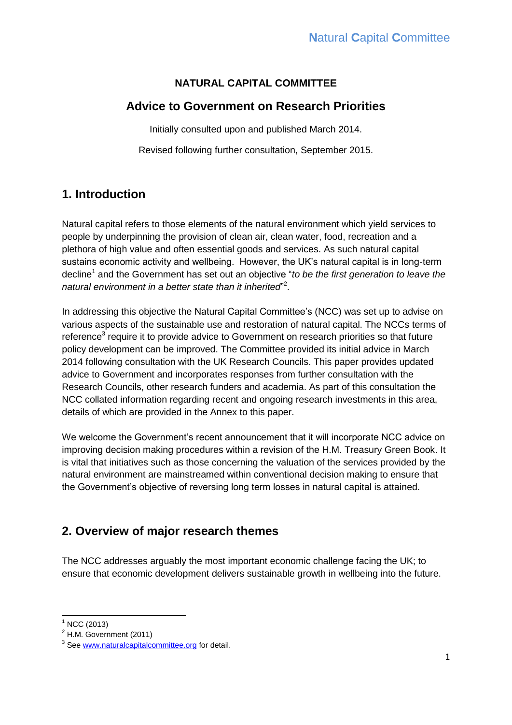## **NATURAL CAPITAL COMMITTEE**

# **Advice to Government on Research Priorities**

Initially consulted upon and published March 2014.

Revised following further consultation, September 2015.

# **1. Introduction**

Natural capital refers to those elements of the natural environment which yield services to people by underpinning the provision of clean air, clean water, food, recreation and a plethora of high value and often essential goods and services. As such natural capital sustains economic activity and wellbeing. However, the UK's natural capital is in long-term decline<sup>1</sup> and the Government has set out an objective "to be the first generation to leave the natural environment in a better state than it inherited"<sup>2</sup>.

In addressing this objective the Natural Capital Committee's (NCC) was set up to advise on various aspects of the sustainable use and restoration of natural capital. The NCCs terms of reference<sup>3</sup> require it to provide advice to Government on research priorities so that future policy development can be improved. The Committee provided its initial advice in March 2014 following consultation with the UK Research Councils. This paper provides updated advice to Government and incorporates responses from further consultation with the Research Councils, other research funders and academia. As part of this consultation the NCC collated information regarding recent and ongoing research investments in this area, details of which are provided in the Annex to this paper.

We welcome the Government's recent announcement that it will incorporate NCC advice on improving decision making procedures within a revision of the H.M. Treasury Green Book. It is vital that initiatives such as those concerning the valuation of the services provided by the natural environment are mainstreamed within conventional decision making to ensure that the Government's objective of reversing long term losses in natural capital is attained.

# **2. Overview of major research themes**

The NCC addresses arguably the most important economic challenge facing the UK; to ensure that economic development delivers sustainable growth in wellbeing into the future.

**<sup>.</sup>** NCC (2013)

<sup>2</sup> H.M. Government (2011)

<sup>&</sup>lt;sup>3</sup> See [www.naturalcapitalcommittee.org](http://www.naturalcapitalcommittee.org/) for detail.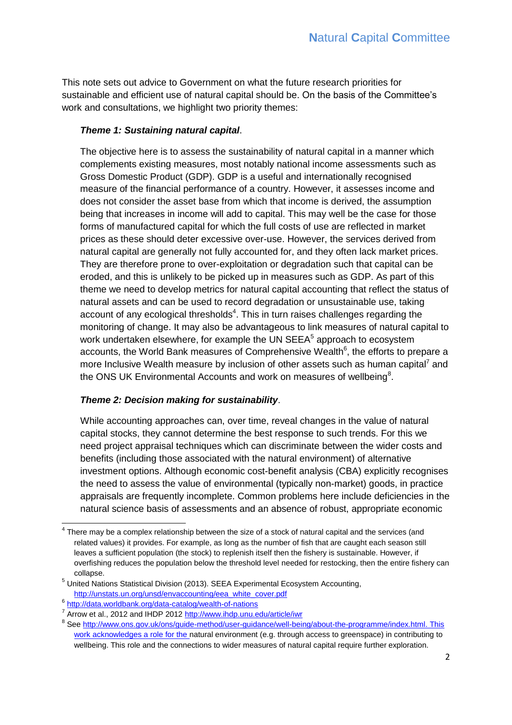This note sets out advice to Government on what the future research priorities for sustainable and efficient use of natural capital should be. On the basis of the Committee's work and consultations, we highlight two priority themes:

## *Theme 1: Sustaining natural capital*.

The objective here is to assess the sustainability of natural capital in a manner which complements existing measures, most notably national income assessments such as Gross Domestic Product (GDP). GDP is a useful and internationally recognised measure of the financial performance of a country. However, it assesses income and does not consider the asset base from which that income is derived, the assumption being that increases in income will add to capital. This may well be the case for those forms of manufactured capital for which the full costs of use are reflected in market prices as these should deter excessive over-use. However, the services derived from natural capital are generally not fully accounted for, and they often lack market prices. They are therefore prone to over-exploitation or degradation such that capital can be eroded, and this is unlikely to be picked up in measures such as GDP. As part of this theme we need to develop metrics for natural capital accounting that reflect the status of natural assets and can be used to record degradation or unsustainable use, taking account of any ecological thresholds $4$ . This in turn raises challenges regarding the monitoring of change. It may also be advantageous to link measures of natural capital to work undertaken elsewhere, for example the UN SEEA<sup>5</sup> approach to ecosystem accounts, the World Bank measures of Comprehensive Wealth<sup>6</sup>, the efforts to prepare a more Inclusive Wealth measure by inclusion of other assets such as human capital<sup>7</sup> and the ONS UK Environmental Accounts and work on measures of wellbeing $8$ .

### *Theme 2: Decision making for sustainability*.

While accounting approaches can, over time, reveal changes in the value of natural capital stocks, they cannot determine the best response to such trends. For this we need project appraisal techniques which can discriminate between the wider costs and benefits (including those associated with the natural environment) of alternative investment options. Although economic cost-benefit analysis (CBA) explicitly recognises the need to assess the value of environmental (typically non-market) goods, in practice appraisals are frequently incomplete. Common problems here include deficiencies in the natural science basis of assessments and an absence of robust, appropriate economic

<sup>————————————————————&</sup>lt;br><sup>4</sup> There may be a complex relationship between the size of a stock of natural capital and the services (and **pro** related values) it provides. For example, as long as the number of fish that are caught each season still leaves a sufficient population (the stock) to replenish itself then the fishery is sustainable. However, if overfishing reduces the population below the threshold level needed for restocking, then the entire fishery can collapse.

<sup>5</sup> United Nations Statistical Division (2013). SEEA Experimental Ecosystem Accounting, [http://unstats.un.org/unsd/envaccounting/eea\\_white\\_cover.pdf](http://unstats.un.org/unsd/envaccounting/eea_white_cover.pdf)

<sup>6</sup> <http://data.worldbank.org/data-catalog/wealth-of-nations>

<sup>&</sup>lt;sup>7</sup> Arrow et al., 2012 and IHDP 2012<http://www.ihdp.unu.edu/article/iwr>

<sup>&</sup>lt;sup>8</sup> See [http://www.ons.gov.uk/ons/guide-method/user-guidance/well-being/about-the-programme/index.html.](http://www.ons.gov.uk/ons/guide-method/user-guidance/well-being/about-the-programme/index.html) This work acknowledges a role for the natural environment (e.g. through access to greenspace) in contributing to wellbeing. This role and the connections to wider measures of natural capital require further exploration.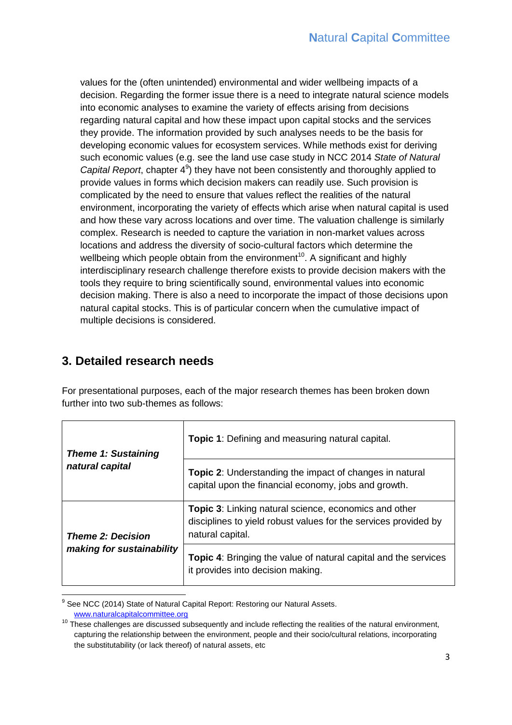values for the (often unintended) environmental and wider wellbeing impacts of a decision. Regarding the former issue there is a need to integrate natural science models into economic analyses to examine the variety of effects arising from decisions regarding natural capital and how these impact upon capital stocks and the services they provide. The information provided by such analyses needs to be the basis for developing economic values for ecosystem services. While methods exist for deriving such economic values (e.g. see the land use case study in NCC 2014 *State of Natural*  Capital Report, chapter 4<sup>9</sup>) they have not been consistently and thoroughly applied to provide values in forms which decision makers can readily use. Such provision is complicated by the need to ensure that values reflect the realities of the natural environment, incorporating the variety of effects which arise when natural capital is used and how these vary across locations and over time. The valuation challenge is similarly complex. Research is needed to capture the variation in non-market values across locations and address the diversity of socio-cultural factors which determine the wellbeing which people obtain from the environment<sup>10</sup>. A significant and highly interdisciplinary research challenge therefore exists to provide decision makers with the tools they require to bring scientifically sound, environmental values into economic decision making. There is also a need to incorporate the impact of those decisions upon natural capital stocks. This is of particular concern when the cumulative impact of multiple decisions is considered.

# **3. Detailed research needs**

For presentational purposes, each of the major research themes has been broken down further into two sub-themes as follows:

| <b>Theme 1: Sustaining</b> | <b>Topic 1:</b> Defining and measuring natural capital.                                                                                             |
|----------------------------|-----------------------------------------------------------------------------------------------------------------------------------------------------|
| natural capital            | Topic 2: Understanding the impact of changes in natural<br>capital upon the financial economy, jobs and growth.                                     |
| <b>Theme 2: Decision</b>   | <b>Topic 3:</b> Linking natural science, economics and other<br>disciplines to yield robust values for the services provided by<br>natural capital. |
| making for sustainability  | <b>Topic 4:</b> Bringing the value of natural capital and the services<br>it provides into decision making.                                         |

 $\overline{\phantom{a}}$ <sup>9</sup> See NCC (2014) State of Natural Capital Report: Restoring our Natural Assets. [www.naturalcapitalcommittee.org](http://www.naturalcapitalcommittee.org/)

<sup>&</sup>lt;sup>10</sup> These challenges are discussed subsequently and include reflecting the realities of the natural environment, capturing the relationship between the environment, people and their socio/cultural relations, incorporating the substitutability (or lack thereof) of natural assets, etc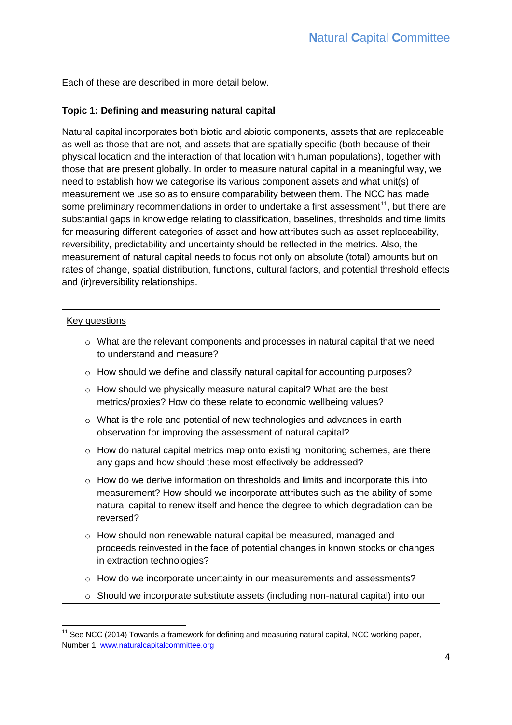Each of these are described in more detail below.

#### **Topic 1: Defining and measuring natural capital**

Natural capital incorporates both biotic and abiotic components, assets that are replaceable as well as those that are not, and assets that are spatially specific (both because of their physical location and the interaction of that location with human populations), together with those that are present globally. In order to measure natural capital in a meaningful way, we need to establish how we categorise its various component assets and what unit(s) of measurement we use so as to ensure comparability between them. The NCC has made some preliminary recommendations in order to undertake a first assessment<sup>11</sup>, but there are substantial gaps in knowledge relating to classification, baselines, thresholds and time limits for measuring different categories of asset and how attributes such as asset replaceability, reversibility, predictability and uncertainty should be reflected in the metrics. Also, the measurement of natural capital needs to focus not only on absolute (total) amounts but on rates of change, spatial distribution, functions, cultural factors, and potential threshold effects and (ir)reversibility relationships.

#### Key questions

- $\circ$  What are the relevant components and processes in natural capital that we need to understand and measure?
- o How should we define and classify natural capital for accounting purposes?
- o How should we physically measure natural capital? What are the best metrics/proxies? How do these relate to economic wellbeing values?
- o What is the role and potential of new technologies and advances in earth observation for improving the assessment of natural capital?
- o How do natural capital metrics map onto existing monitoring schemes, are there any gaps and how should these most effectively be addressed?
- $\circ$  How do we derive information on thresholds and limits and incorporate this into measurement? How should we incorporate attributes such as the ability of some natural capital to renew itself and hence the degree to which degradation can be reversed?
- o How should non-renewable natural capital be measured, managed and proceeds reinvested in the face of potential changes in known stocks or changes in extraction technologies?
- o How do we incorporate uncertainty in our measurements and assessments?
- o Should we incorporate substitute assets (including non-natural capital) into our

**<sup>.</sup>**  $11$  See NCC (2014) Towards a framework for defining and measuring natural capital, NCC working paper, Number 1[. www.naturalcapitalcommittee.org](http://www.naturalcapitalcommittee.org/)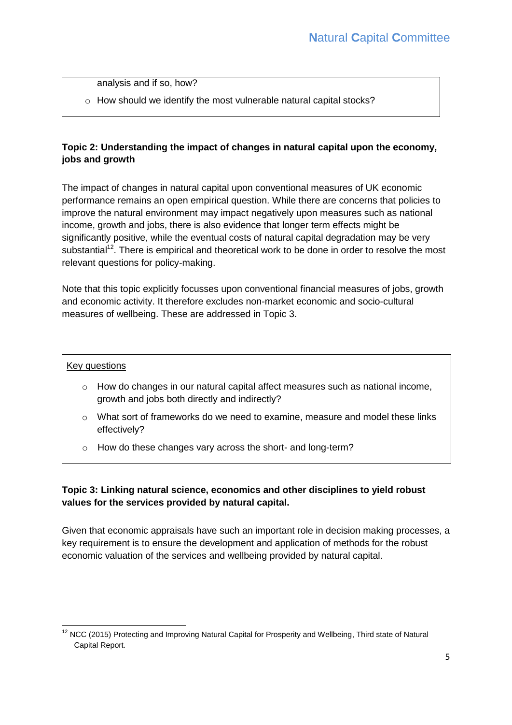analysis and if so, how?

o How should we identify the most vulnerable natural capital stocks?

### **Topic 2: Understanding the impact of changes in natural capital upon the economy, jobs and growth**

The impact of changes in natural capital upon conventional measures of UK economic performance remains an open empirical question. While there are concerns that policies to improve the natural environment may impact negatively upon measures such as national income, growth and jobs, there is also evidence that longer term effects might be significantly positive, while the eventual costs of natural capital degradation may be very substantial<sup>12</sup>. There is empirical and theoretical work to be done in order to resolve the most relevant questions for policy-making.

Note that this topic explicitly focusses upon conventional financial measures of jobs, growth and economic activity. It therefore excludes non-market economic and socio-cultural measures of wellbeing. These are addressed in Topic 3.

#### Key questions

- $\circ$  How do changes in our natural capital affect measures such as national income, growth and jobs both directly and indirectly?
- $\circ$  What sort of frameworks do we need to examine, measure and model these links effectively?
- o How do these changes vary across the short- and long-term?

### **Topic 3: Linking natural science, economics and other disciplines to yield robust values for the services provided by natural capital.**

Given that economic appraisals have such an important role in decision making processes, a key requirement is to ensure the development and application of methods for the robust economic valuation of the services and wellbeing provided by natural capital.

**<sup>.</sup>**  $12$  NCC (2015) Protecting and Improving Natural Capital for Prosperity and Wellbeing, Third state of Natural Capital Report.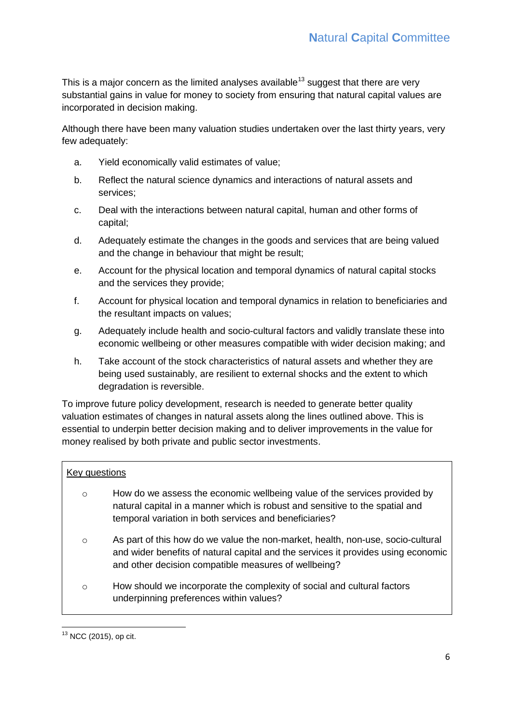This is a major concern as the limited analyses available<sup>13</sup> suggest that there are very substantial gains in value for money to society from ensuring that natural capital values are incorporated in decision making.

Although there have been many valuation studies undertaken over the last thirty years, very few adequately:

- a. Yield economically valid estimates of value;
- b. Reflect the natural science dynamics and interactions of natural assets and services;
- c. Deal with the interactions between natural capital, human and other forms of capital;
- d. Adequately estimate the changes in the goods and services that are being valued and the change in behaviour that might be result;
- e. Account for the physical location and temporal dynamics of natural capital stocks and the services they provide;
- f. Account for physical location and temporal dynamics in relation to beneficiaries and the resultant impacts on values;
- g. Adequately include health and socio-cultural factors and validly translate these into economic wellbeing or other measures compatible with wider decision making; and
- h. Take account of the stock characteristics of natural assets and whether they are being used sustainably, are resilient to external shocks and the extent to which degradation is reversible.

To improve future policy development, research is needed to generate better quality valuation estimates of changes in natural assets along the lines outlined above. This is essential to underpin better decision making and to deliver improvements in the value for money realised by both private and public sector investments.

#### Key questions

- o How do we assess the economic wellbeing value of the services provided by natural capital in a manner which is robust and sensitive to the spatial and temporal variation in both services and beneficiaries?
- $\circ$  As part of this how do we value the non-market, health, non-use, socio-cultural and wider benefits of natural capital and the services it provides using economic and other decision compatible measures of wellbeing?
- $\circ$  How should we incorporate the complexity of social and cultural factors underpinning preferences within values?

**<sup>.</sup>**  $13$  NCC (2015), op cit.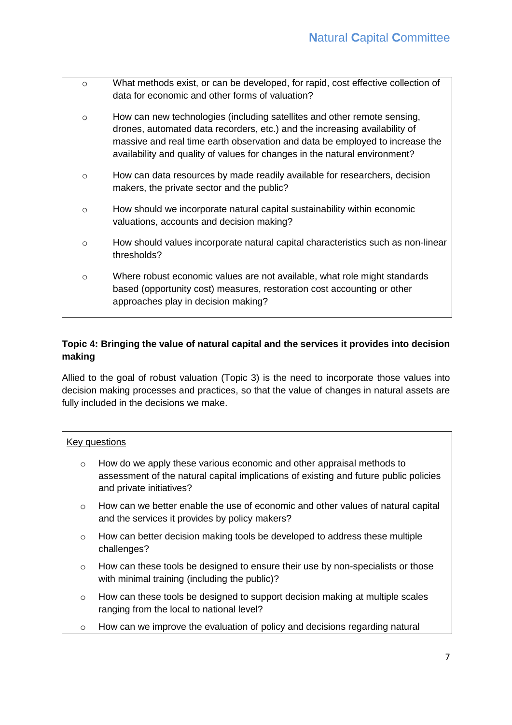o What methods exist, or can be developed, for rapid, cost effective collection of data for economic and other forms of valuation? o How can new technologies (including satellites and other remote sensing, drones, automated data recorders, etc.) and the increasing availability of massive and real time earth observation and data be employed to increase the availability and quality of values for changes in the natural environment?  $\circ$  How can data resources by made readily available for researchers, decision makers, the private sector and the public?  $\circ$  How should we incorporate natural capital sustainability within economic valuations, accounts and decision making?  $\circ$  How should values incorporate natural capital characteristics such as non-linear thresholds? o Where robust economic values are not available, what role might standards based (opportunity cost) measures, restoration cost accounting or other approaches play in decision making?

## **Topic 4: Bringing the value of natural capital and the services it provides into decision making**

Allied to the goal of robust valuation (Topic 3) is the need to incorporate those values into decision making processes and practices, so that the value of changes in natural assets are fully included in the decisions we make.

### Key questions

- $\circ$  How do we apply these various economic and other appraisal methods to assessment of the natural capital implications of existing and future public policies and private initiatives?
- $\circ$  How can we better enable the use of economic and other values of natural capital and the services it provides by policy makers?
- $\circ$  How can better decision making tools be developed to address these multiple challenges?
- o How can these tools be designed to ensure their use by non-specialists or those with minimal training (including the public)?
- $\circ$  How can these tools be designed to support decision making at multiple scales ranging from the local to national level?
- $\circ$  How can we improve the evaluation of policy and decisions regarding natural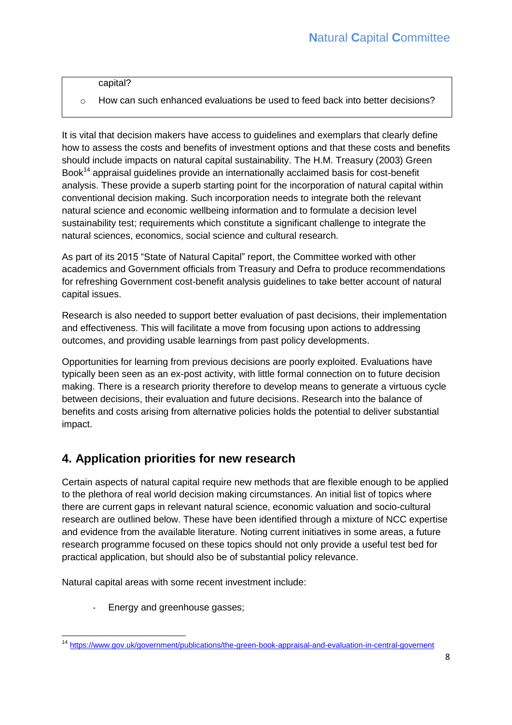capital?

 $\circ$  How can such enhanced evaluations be used to feed back into better decisions?

It is vital that decision makers have access to guidelines and exemplars that clearly define how to assess the costs and benefits of investment options and that these costs and benefits should include impacts on natural capital sustainability. The H.M. Treasury (2003) Green Book<sup>14</sup> appraisal guidelines provide an internationally acclaimed basis for cost-benefit analysis. These provide a superb starting point for the incorporation of natural capital within conventional decision making. Such incorporation needs to integrate both the relevant natural science and economic wellbeing information and to formulate a decision level sustainability test; requirements which constitute a significant challenge to integrate the natural sciences, economics, social science and cultural research.

As part of its 2015 "State of Natural Capital" report, the Committee worked with other academics and Government officials from Treasury and Defra to produce recommendations for refreshing Government cost-benefit analysis guidelines to take better account of natural capital issues.

Research is also needed to support better evaluation of past decisions, their implementation and effectiveness. This will facilitate a move from focusing upon actions to addressing outcomes, and providing usable learnings from past policy developments.

Opportunities for learning from previous decisions are poorly exploited. Evaluations have typically been seen as an ex-post activity, with little formal connection on to future decision making. There is a research priority therefore to develop means to generate a virtuous cycle between decisions, their evaluation and future decisions. Research into the balance of benefits and costs arising from alternative policies holds the potential to deliver substantial impact.

# **4. Application priorities for new research**

Certain aspects of natural capital require new methods that are flexible enough to be applied to the plethora of real world decision making circumstances. An initial list of topics where there are current gaps in relevant natural science, economic valuation and socio-cultural research are outlined below. These have been identified through a mixture of NCC expertise and evidence from the available literature. Noting current initiatives in some areas, a future research programme focused on these topics should not only provide a useful test bed for practical application, but should also be of substantial policy relevance.

Natural capital areas with some recent investment include:

Energy and greenhouse gasses;

**<sup>.</sup>** <sup>14</sup> <https://www.gov.uk/government/publications/the-green-book-appraisal-and-evaluation-in-central-governent>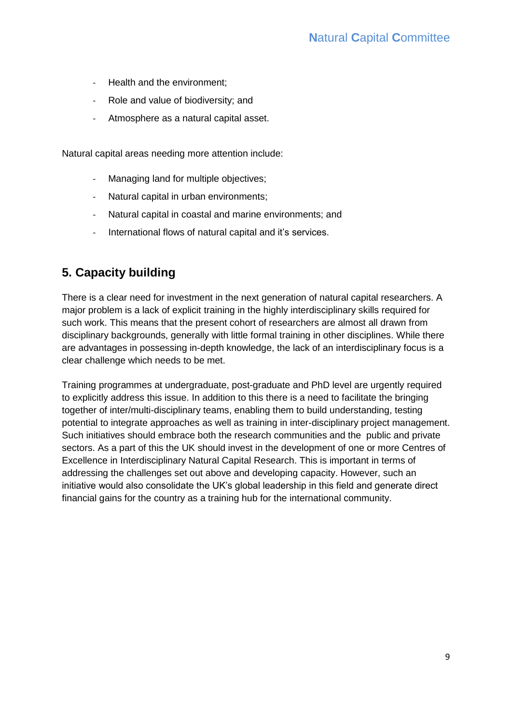- Health and the environment;
- Role and value of biodiversity; and
- Atmosphere as a natural capital asset.

Natural capital areas needing more attention include:

- Managing land for multiple objectives;
- Natural capital in urban environments;
- Natural capital in coastal and marine environments; and
- International flows of natural capital and it's services.

# **5. Capacity building**

There is a clear need for investment in the next generation of natural capital researchers. A major problem is a lack of explicit training in the highly interdisciplinary skills required for such work. This means that the present cohort of researchers are almost all drawn from disciplinary backgrounds, generally with little formal training in other disciplines. While there are advantages in possessing in-depth knowledge, the lack of an interdisciplinary focus is a clear challenge which needs to be met.

Training programmes at undergraduate, post-graduate and PhD level are urgently required to explicitly address this issue. In addition to this there is a need to facilitate the bringing together of inter/multi-disciplinary teams, enabling them to build understanding, testing potential to integrate approaches as well as training in inter-disciplinary project management. Such initiatives should embrace both the research communities and the public and private sectors. As a part of this the UK should invest in the development of one or more Centres of Excellence in Interdisciplinary Natural Capital Research. This is important in terms of addressing the challenges set out above and developing capacity. However, such an initiative would also consolidate the UK's global leadership in this field and generate direct financial gains for the country as a training hub for the international community.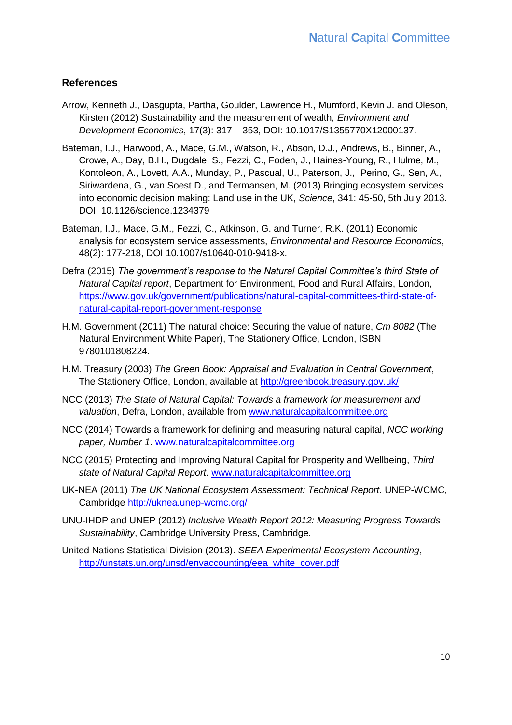## **References**

- Arrow, Kenneth J., Dasgupta, Partha, Goulder, Lawrence H., Mumford, Kevin J. and Oleson, Kirsten (2012) Sustainability and the measurement of wealth, *Environment and Development Economics*, 17(3): 317 – 353, DOI: 10.1017/S1355770X12000137.
- Bateman, I.J., Harwood, A., Mace, G.M., Watson, R., Abson, D.J., Andrews, B., Binner, A., Crowe, A., Day, B.H., Dugdale, S., Fezzi, C., Foden, J., Haines-Young, R., Hulme, M., Kontoleon, A., Lovett, A.A., Munday, P., Pascual, U., Paterson, J., Perino, G., Sen, A., Siriwardena, G., van Soest D., and Termansen, M. (2013) Bringing ecosystem services into economic decision making: Land use in the UK, *Science*, 341: 45-50, 5th July 2013. DOI: 10.1126/science.1234379
- Bateman, I.J., Mace, G.M., Fezzi, C., Atkinson, G. and Turner, R.K. (2011) Economic analysis for ecosystem service assessments, *Environmental and Resource Economics*, 48(2): 177-218, DOI 10.1007/s10640-010-9418-x.
- Defra (2015) *The government's response to the Natural Capital Committee's third State of Natural Capital report*, Department for Environment, Food and Rural Affairs, London, [https://www.gov.uk/government/publications/natural-capital-committees-third-state-of](https://www.gov.uk/government/publications/natural-capital-committees-third-state-of-natural-capital-report-government-response)[natural-capital-report-government-response](https://www.gov.uk/government/publications/natural-capital-committees-third-state-of-natural-capital-report-government-response)
- H.M. Government (2011) The natural choice: Securing the value of nature, *Cm 8082* (The Natural Environment White Paper), The Stationery Office, London, ISBN 9780101808224.
- H.M. Treasury (2003) *The Green Book: Appraisal and Evaluation in Central Government*, The Stationery Office, London, available at<http://greenbook.treasury.gov.uk/>
- NCC (2013) *The State of Natural Capital: Towards a framework for measurement and valuation*, Defra, London, available from [www.naturalcapitalcommittee.org](http://www.naturalcapitalcommittee.org/)
- NCC (2014) Towards a framework for defining and measuring natural capital, *NCC working paper, Number 1*. [www.naturalcapitalcommittee.org](http://www.naturalcapitalcommittee.org/)
- NCC (2015) Protecting and Improving Natural Capital for Prosperity and Wellbeing, *Third state of Natural Capital Report.* [www.naturalcapitalcommittee.org](http://www.naturalcapitalcommittee.org/)
- UK-NEA (2011) *The UK National Ecosystem Assessment: Technical Report*. UNEP-WCMC, Cambridge<http://uknea.unep-wcmc.org/>
- UNU-IHDP and UNEP (2012) *Inclusive Wealth Report 2012: Measuring Progress Towards Sustainability*, Cambridge University Press, Cambridge.
- United Nations Statistical Division (2013). *SEEA Experimental Ecosystem Accounting*, [http://unstats.un.org/unsd/envaccounting/eea\\_white\\_cover.pdf](http://unstats.un.org/unsd/envaccounting/eea_white_cover.pdf)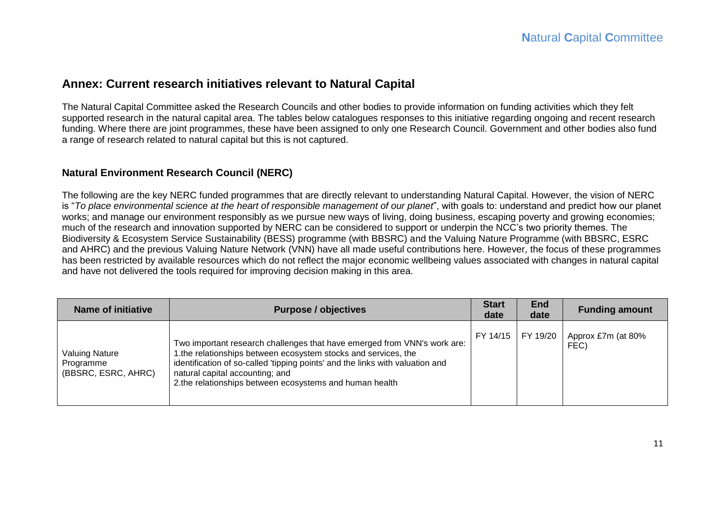## **Annex: Current research initiatives relevant to Natural Capital**

The Natural Capital Committee asked the Research Councils and other bodies to provide information on funding activities which they felt supported research in the natural capital area. The tables below catalogues responses to this initiative regarding ongoing and recent research funding. Where there are joint programmes, these have been assigned to only one Research Council. Government and other bodies also fund a range of research related to natural capital but this is not captured.

#### **Natural Environment Research Council (NERC)**

The following are the key NERC funded programmes that are directly relevant to understanding Natural Capital. However, the vision of NERC is "*To place environmental science at the heart of responsible management of our planet*", with goals to: understand and predict how our planet works; and manage our environment responsibly as we pursue new ways of living, doing business, escaping poverty and growing economies; much of the research and innovation supported by NERC can be considered to support or underpin the NCC's two priority themes. The Biodiversity & Ecosystem Service Sustainability (BESS) programme (with BBSRC) and the Valuing Nature Programme (with BBSRC, ESRC and AHRC) and the previous Valuing Nature Network (VNN) have all made useful contributions here. However, the focus of these programmes has been restricted by available resources which do not reflect the major economic wellbeing values associated with changes in natural capital and have not delivered the tools required for improving decision making in this area.

| <b>Name of initiative</b>                                 | <b>Purpose / objectives</b>                                                                                                                                                                                                                                                                                               | <b>Start</b><br>date | <b>End</b><br>date | <b>Funding amount</b>      |
|-----------------------------------------------------------|---------------------------------------------------------------------------------------------------------------------------------------------------------------------------------------------------------------------------------------------------------------------------------------------------------------------------|----------------------|--------------------|----------------------------|
| <b>Valuing Nature</b><br>Programme<br>(BBSRC, ESRC, AHRC) | Two important research challenges that have emerged from VNN's work are:<br>1.the relationships between ecosystem stocks and services, the<br>identification of so-called 'tipping points' and the links with valuation and<br>natural capital accounting; and<br>2.the relationships between ecosystems and human health | FY 14/15             | FY 19/20           | Approx £7m (at 80%<br>FEC) |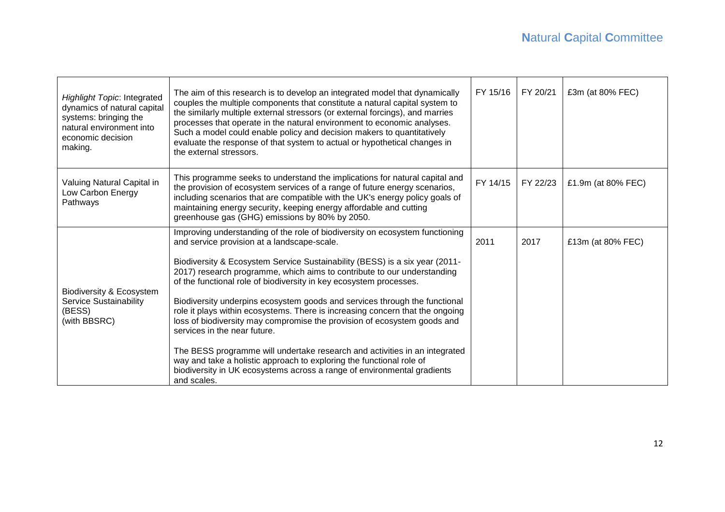| <b>Highlight Topic: Integrated</b><br>dynamics of natural capital<br>systems: bringing the<br>natural environment into<br>economic decision<br>making. | The aim of this research is to develop an integrated model that dynamically<br>couples the multiple components that constitute a natural capital system to<br>the similarly multiple external stressors (or external forcings), and marries<br>processes that operate in the natural environment to economic analyses.<br>Such a model could enable policy and decision makers to quantitatively<br>evaluate the response of that system to actual or hypothetical changes in<br>the external stressors.                                                                                                                                                                                                                                                                                                                                                                               | FY 15/16 | FY 20/21 | £3m (at 80% FEC)   |
|--------------------------------------------------------------------------------------------------------------------------------------------------------|----------------------------------------------------------------------------------------------------------------------------------------------------------------------------------------------------------------------------------------------------------------------------------------------------------------------------------------------------------------------------------------------------------------------------------------------------------------------------------------------------------------------------------------------------------------------------------------------------------------------------------------------------------------------------------------------------------------------------------------------------------------------------------------------------------------------------------------------------------------------------------------|----------|----------|--------------------|
| Valuing Natural Capital in<br>Low Carbon Energy<br>Pathways                                                                                            | This programme seeks to understand the implications for natural capital and<br>the provision of ecosystem services of a range of future energy scenarios,<br>including scenarios that are compatible with the UK's energy policy goals of<br>maintaining energy security, keeping energy affordable and cutting<br>greenhouse gas (GHG) emissions by 80% by 2050.                                                                                                                                                                                                                                                                                                                                                                                                                                                                                                                      | FY 14/15 | FY 22/23 | £1.9m (at 80% FEC) |
| Biodiversity & Ecosystem<br><b>Service Sustainability</b><br>(BESS)<br>(with BBSRC)                                                                    | Improving understanding of the role of biodiversity on ecosystem functioning<br>and service provision at a landscape-scale.<br>Biodiversity & Ecosystem Service Sustainability (BESS) is a six year (2011-<br>2017) research programme, which aims to contribute to our understanding<br>of the functional role of biodiversity in key ecosystem processes.<br>Biodiversity underpins ecosystem goods and services through the functional<br>role it plays within ecosystems. There is increasing concern that the ongoing<br>loss of biodiversity may compromise the provision of ecosystem goods and<br>services in the near future.<br>The BESS programme will undertake research and activities in an integrated<br>way and take a holistic approach to exploring the functional role of<br>biodiversity in UK ecosystems across a range of environmental gradients<br>and scales. | 2011     | 2017     | £13m (at 80% FEC)  |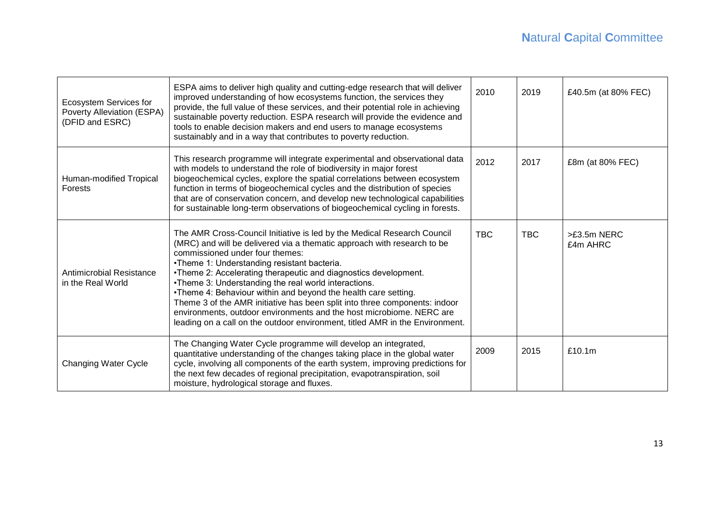| Ecosystem Services for<br>Poverty Alleviation (ESPA)<br>(DFID and ESRC) | ESPA aims to deliver high quality and cutting-edge research that will deliver<br>improved understanding of how ecosystems function, the services they<br>provide, the full value of these services, and their potential role in achieving<br>sustainable poverty reduction. ESPA research will provide the evidence and<br>tools to enable decision makers and end users to manage ecosystems<br>sustainably and in a way that contributes to poverty reduction.                                                                                                                                                                                                        | 2010       | 2019       | £40.5m (at 80% FEC)     |
|-------------------------------------------------------------------------|-------------------------------------------------------------------------------------------------------------------------------------------------------------------------------------------------------------------------------------------------------------------------------------------------------------------------------------------------------------------------------------------------------------------------------------------------------------------------------------------------------------------------------------------------------------------------------------------------------------------------------------------------------------------------|------------|------------|-------------------------|
| Human-modified Tropical<br>Forests                                      | This research programme will integrate experimental and observational data<br>with models to understand the role of biodiversity in major forest<br>biogeochemical cycles, explore the spatial correlations between ecosystem<br>function in terms of biogeochemical cycles and the distribution of species<br>that are of conservation concern, and develop new technological capabilities<br>for sustainable long-term observations of biogeochemical cycling in forests.                                                                                                                                                                                             | 2012       | 2017       | £8m (at 80% FEC)        |
| Antimicrobial Resistance<br>in the Real World                           | The AMR Cross-Council Initiative is led by the Medical Research Council<br>(MRC) and will be delivered via a thematic approach with research to be<br>commissioned under four themes:<br>•Theme 1: Understanding resistant bacteria.<br>•Theme 2: Accelerating therapeutic and diagnostics development.<br>.Theme 3: Understanding the real world interactions.<br>.Theme 4: Behaviour within and beyond the health care setting.<br>Theme 3 of the AMR initiative has been split into three components: indoor<br>environments, outdoor environments and the host microbiome. NERC are<br>leading on a call on the outdoor environment, titled AMR in the Environment. | <b>TBC</b> | <b>TBC</b> | >£3.5m NERC<br>£4m AHRC |
| Changing Water Cycle                                                    | The Changing Water Cycle programme will develop an integrated,<br>quantitative understanding of the changes taking place in the global water<br>cycle, involving all components of the earth system, improving predictions for<br>the next few decades of regional precipitation, evapotranspiration, soil<br>moisture, hydrological storage and fluxes.                                                                                                                                                                                                                                                                                                                | 2009       | 2015       | £10.1m                  |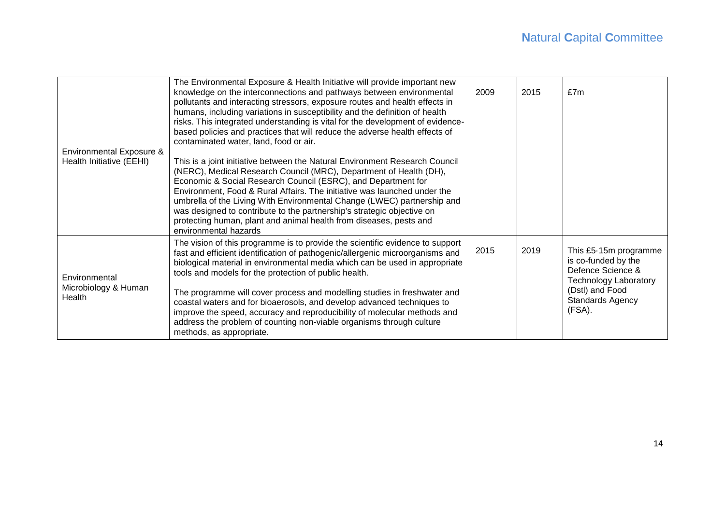| <b>Environmental Exposure &amp;</b><br>Health Initiative (EEHI) | The Environmental Exposure & Health Initiative will provide important new<br>knowledge on the interconnections and pathways between environmental<br>pollutants and interacting stressors, exposure routes and health effects in<br>humans, including variations in susceptibility and the definition of health<br>risks. This integrated understanding is vital for the development of evidence-<br>based policies and practices that will reduce the adverse health effects of<br>contaminated water, land, food or air.<br>This is a joint initiative between the Natural Environment Research Council<br>(NERC), Medical Research Council (MRC), Department of Health (DH),<br>Economic & Social Research Council (ESRC), and Department for<br>Environment, Food & Rural Affairs. The initiative was launched under the<br>umbrella of the Living With Environmental Change (LWEC) partnership and<br>was designed to contribute to the partnership's strategic objective on<br>protecting human, plant and animal health from diseases, pests and<br>environmental hazards | 2009 | 2015 | £7m                                                                                                                                                |
|-----------------------------------------------------------------|----------------------------------------------------------------------------------------------------------------------------------------------------------------------------------------------------------------------------------------------------------------------------------------------------------------------------------------------------------------------------------------------------------------------------------------------------------------------------------------------------------------------------------------------------------------------------------------------------------------------------------------------------------------------------------------------------------------------------------------------------------------------------------------------------------------------------------------------------------------------------------------------------------------------------------------------------------------------------------------------------------------------------------------------------------------------------------|------|------|----------------------------------------------------------------------------------------------------------------------------------------------------|
| Environmental<br>Microbiology & Human<br>Health                 | The vision of this programme is to provide the scientific evidence to support<br>fast and efficient identification of pathogenic/allergenic microorganisms and<br>biological material in environmental media which can be used in appropriate<br>tools and models for the protection of public health.<br>The programme will cover process and modelling studies in freshwater and<br>coastal waters and for bioaerosols, and develop advanced techniques to<br>improve the speed, accuracy and reproducibility of molecular methods and<br>address the problem of counting non-viable organisms through culture<br>methods, as appropriate.                                                                                                                                                                                                                                                                                                                                                                                                                                     | 2015 | 2019 | This £5.15m programme<br>is co-funded by the<br>Defence Science &<br><b>Technology Laboratory</b><br>(Dstl) and Food<br>Standards Agency<br>(FSA). |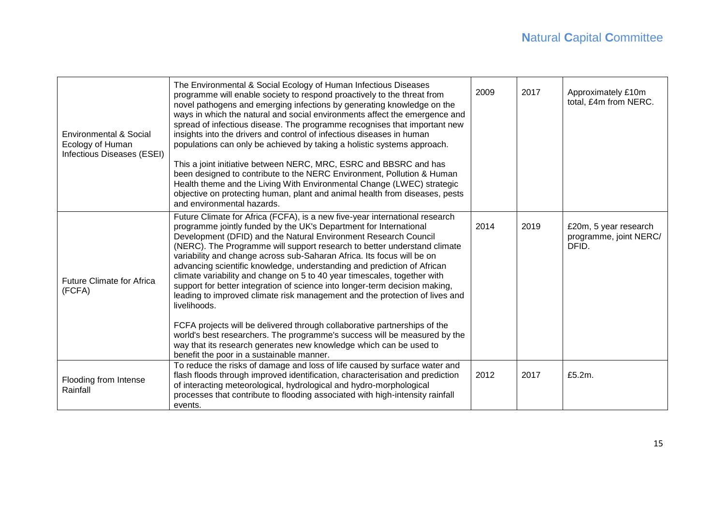| Environmental & Social<br>Ecology of Human<br>Infectious Diseases (ESEI) | The Environmental & Social Ecology of Human Infectious Diseases<br>programme will enable society to respond proactively to the threat from<br>novel pathogens and emerging infections by generating knowledge on the<br>ways in which the natural and social environments affect the emergence and<br>spread of infectious disease. The programme recognises that important new<br>insights into the drivers and control of infectious diseases in human<br>populations can only be achieved by taking a holistic systems approach.<br>This a joint initiative between NERC, MRC, ESRC and BBSRC and has<br>been designed to contribute to the NERC Environment, Pollution & Human<br>Health theme and the Living With Environmental Change (LWEC) strategic<br>objective on protecting human, plant and animal health from diseases, pests<br>and environmental hazards.                                                                                                                   | 2009 | 2017 | Approximately £10m<br>total, £4m from NERC.              |
|--------------------------------------------------------------------------|---------------------------------------------------------------------------------------------------------------------------------------------------------------------------------------------------------------------------------------------------------------------------------------------------------------------------------------------------------------------------------------------------------------------------------------------------------------------------------------------------------------------------------------------------------------------------------------------------------------------------------------------------------------------------------------------------------------------------------------------------------------------------------------------------------------------------------------------------------------------------------------------------------------------------------------------------------------------------------------------|------|------|----------------------------------------------------------|
| <b>Future Climate for Africa</b><br>(FCFA)                               | Future Climate for Africa (FCFA), is a new five-year international research<br>programme jointly funded by the UK's Department for International<br>Development (DFID) and the Natural Environment Research Council<br>(NERC). The Programme will support research to better understand climate<br>variability and change across sub-Saharan Africa. Its focus will be on<br>advancing scientific knowledge, understanding and prediction of African<br>climate variability and change on 5 to 40 year timescales, together with<br>support for better integration of science into longer-term decision making,<br>leading to improved climate risk management and the protection of lives and<br>livelihoods.<br>FCFA projects will be delivered through collaborative partnerships of the<br>world's best researchers. The programme's success will be measured by the<br>way that its research generates new knowledge which can be used to<br>benefit the poor in a sustainable manner. | 2014 | 2019 | £20m, 5 year research<br>programme, joint NERC/<br>DFID. |
| Flooding from Intense<br>Rainfall                                        | To reduce the risks of damage and loss of life caused by surface water and<br>flash floods through improved identification, characterisation and prediction<br>of interacting meteorological, hydrological and hydro-morphological<br>processes that contribute to flooding associated with high-intensity rainfall<br>events.                                                                                                                                                                                                                                                                                                                                                                                                                                                                                                                                                                                                                                                              | 2012 | 2017 | £5.2m.                                                   |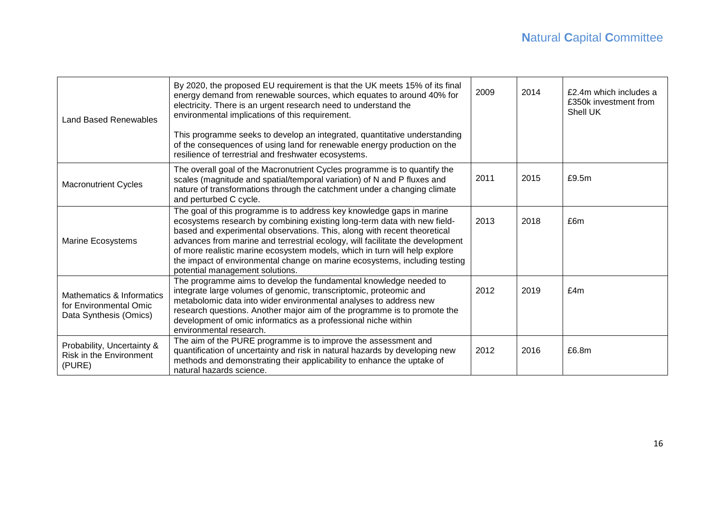| <b>Land Based Renewables</b>                                                  | By 2020, the proposed EU requirement is that the UK meets 15% of its final<br>energy demand from renewable sources, which equates to around 40% for<br>electricity. There is an urgent research need to understand the<br>environmental implications of this requirement.                                                                                                                                                                                                                                     | 2009 | 2014 | £2.4m which includes a<br>£350k investment from<br>Shell UK |
|-------------------------------------------------------------------------------|---------------------------------------------------------------------------------------------------------------------------------------------------------------------------------------------------------------------------------------------------------------------------------------------------------------------------------------------------------------------------------------------------------------------------------------------------------------------------------------------------------------|------|------|-------------------------------------------------------------|
|                                                                               | This programme seeks to develop an integrated, quantitative understanding<br>of the consequences of using land for renewable energy production on the<br>resilience of terrestrial and freshwater ecosystems.                                                                                                                                                                                                                                                                                                 |      |      |                                                             |
| <b>Macronutrient Cycles</b>                                                   | The overall goal of the Macronutrient Cycles programme is to quantify the<br>scales (magnitude and spatial/temporal variation) of N and P fluxes and<br>nature of transformations through the catchment under a changing climate<br>and perturbed C cycle.                                                                                                                                                                                                                                                    | 2011 | 2015 | £9.5m                                                       |
| Marine Ecosystems                                                             | The goal of this programme is to address key knowledge gaps in marine<br>ecosystems research by combining existing long-term data with new field-<br>based and experimental observations. This, along with recent theoretical<br>advances from marine and terrestrial ecology, will facilitate the development<br>of more realistic marine ecosystem models, which in turn will help explore<br>the impact of environmental change on marine ecosystems, including testing<br>potential management solutions. | 2013 | 2018 | £6m                                                         |
| Mathematics & Informatics<br>for Environmental Omic<br>Data Synthesis (Omics) | The programme aims to develop the fundamental knowledge needed to<br>integrate large volumes of genomic, transcriptomic, proteomic and<br>metabolomic data into wider environmental analyses to address new<br>research questions. Another major aim of the programme is to promote the<br>development of omic informatics as a professional niche within<br>environmental research.                                                                                                                          | 2012 | 2019 | £4m                                                         |
| Probability, Uncertainty &<br><b>Risk in the Environment</b><br>(PURE)        | The aim of the PURE programme is to improve the assessment and<br>quantification of uncertainty and risk in natural hazards by developing new<br>methods and demonstrating their applicability to enhance the uptake of<br>natural hazards science.                                                                                                                                                                                                                                                           | 2012 | 2016 | £6.8m                                                       |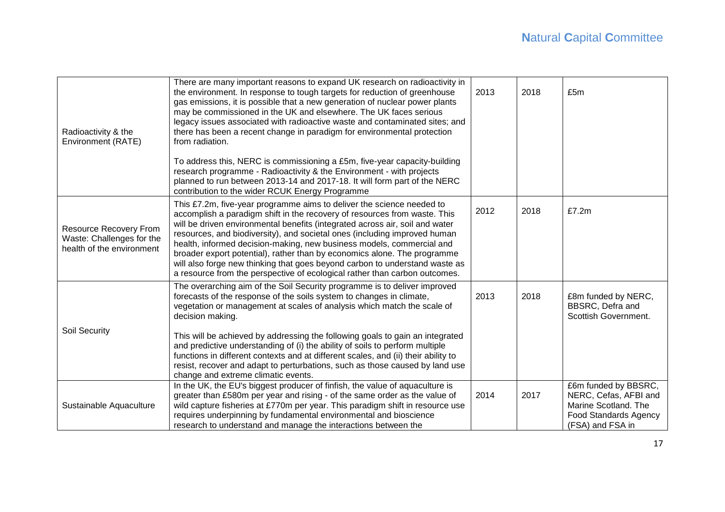| Radioactivity & the<br>Environment (RATE)                                        | There are many important reasons to expand UK research on radioactivity in<br>the environment. In response to tough targets for reduction of greenhouse<br>gas emissions, it is possible that a new generation of nuclear power plants<br>may be commissioned in the UK and elsewhere. The UK faces serious<br>legacy issues associated with radioactive waste and contaminated sites; and<br>there has been a recent change in paradigm for environmental protection<br>from radiation.                                                                                                                                          | 2013 | 2018 | £5m                                                                                                                       |
|----------------------------------------------------------------------------------|-----------------------------------------------------------------------------------------------------------------------------------------------------------------------------------------------------------------------------------------------------------------------------------------------------------------------------------------------------------------------------------------------------------------------------------------------------------------------------------------------------------------------------------------------------------------------------------------------------------------------------------|------|------|---------------------------------------------------------------------------------------------------------------------------|
|                                                                                  | To address this, NERC is commissioning a £5m, five-year capacity-building<br>research programme - Radioactivity & the Environment - with projects<br>planned to run between 2013-14 and 2017-18. It will form part of the NERC<br>contribution to the wider RCUK Energy Programme                                                                                                                                                                                                                                                                                                                                                 |      |      |                                                                                                                           |
| Resource Recovery From<br>Waste: Challenges for the<br>health of the environment | This £7.2m, five-year programme aims to deliver the science needed to<br>accomplish a paradigm shift in the recovery of resources from waste. This<br>will be driven environmental benefits (integrated across air, soil and water<br>resources, and biodiversity), and societal ones (including improved human<br>health, informed decision-making, new business models, commercial and<br>broader export potential), rather than by economics alone. The programme<br>will also forge new thinking that goes beyond carbon to understand waste as<br>a resource from the perspective of ecological rather than carbon outcomes. | 2012 | 2018 | £7.2m                                                                                                                     |
| Soil Security                                                                    | The overarching aim of the Soil Security programme is to deliver improved<br>forecasts of the response of the soils system to changes in climate,<br>vegetation or management at scales of analysis which match the scale of<br>decision making.<br>This will be achieved by addressing the following goals to gain an integrated<br>and predictive understanding of (i) the ability of soils to perform multiple                                                                                                                                                                                                                 | 2013 | 2018 | £8m funded by NERC,<br>BBSRC, Defra and<br>Scottish Government.                                                           |
|                                                                                  | functions in different contexts and at different scales, and (ii) their ability to<br>resist, recover and adapt to perturbations, such as those caused by land use<br>change and extreme climatic events.                                                                                                                                                                                                                                                                                                                                                                                                                         |      |      |                                                                                                                           |
| Sustainable Aquaculture                                                          | In the UK, the EU's biggest producer of finfish, the value of aquaculture is<br>greater than £580m per year and rising - of the same order as the value of<br>wild capture fisheries at £770m per year. This paradigm shift in resource use<br>requires underpinning by fundamental environmental and bioscience<br>research to understand and manage the interactions between the                                                                                                                                                                                                                                                | 2014 | 2017 | £6m funded by BBSRC,<br>NERC, Cefas, AFBI and<br>Marine Scotland. The<br><b>Food Standards Agency</b><br>(FSA) and FSA in |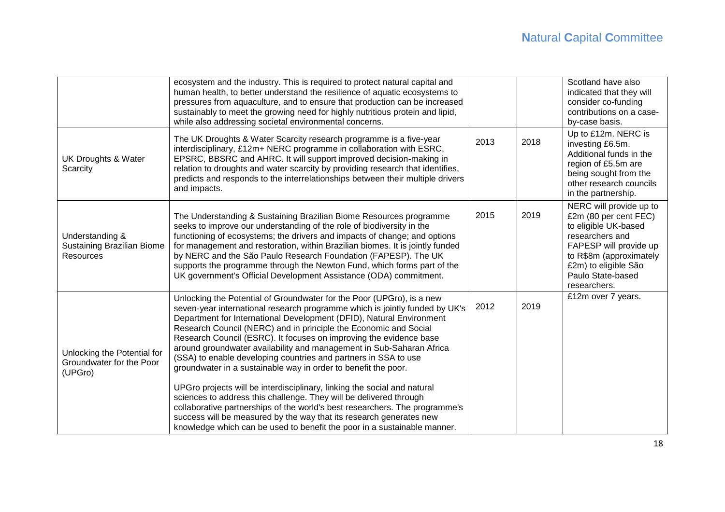|                                                                    | ecosystem and the industry. This is required to protect natural capital and<br>human health, to better understand the resilience of aquatic ecosystems to<br>pressures from aquaculture, and to ensure that production can be increased<br>sustainably to meet the growing need for highly nutritious protein and lipid,<br>while also addressing societal environmental concerns.                                                                                                                                                                                                                                                                                                                                                                                                                                                                                                                                                                                      |      |      | Scotland have also<br>indicated that they will<br>consider co-funding<br>contributions on a case-<br>by-case basis.                                                                                           |
|--------------------------------------------------------------------|-------------------------------------------------------------------------------------------------------------------------------------------------------------------------------------------------------------------------------------------------------------------------------------------------------------------------------------------------------------------------------------------------------------------------------------------------------------------------------------------------------------------------------------------------------------------------------------------------------------------------------------------------------------------------------------------------------------------------------------------------------------------------------------------------------------------------------------------------------------------------------------------------------------------------------------------------------------------------|------|------|---------------------------------------------------------------------------------------------------------------------------------------------------------------------------------------------------------------|
| <b>UK Droughts &amp; Water</b><br>Scarcity                         | The UK Droughts & Water Scarcity research programme is a five-year<br>interdisciplinary, £12m+ NERC programme in collaboration with ESRC,<br>EPSRC, BBSRC and AHRC. It will support improved decision-making in<br>relation to droughts and water scarcity by providing research that identifies,<br>predicts and responds to the interrelationships between their multiple drivers<br>and impacts.                                                                                                                                                                                                                                                                                                                                                                                                                                                                                                                                                                     | 2013 | 2018 | Up to £12m. NERC is<br>investing £6.5m.<br>Additional funds in the<br>region of £5.5m are<br>being sought from the<br>other research councils<br>in the partnership.                                          |
| Understanding &<br>Sustaining Brazilian Biome<br><b>Resources</b>  | The Understanding & Sustaining Brazilian Biome Resources programme<br>seeks to improve our understanding of the role of biodiversity in the<br>functioning of ecosystems; the drivers and impacts of change; and options<br>for management and restoration, within Brazilian biomes. It is jointly funded<br>by NERC and the São Paulo Research Foundation (FAPESP). The UK<br>supports the programme through the Newton Fund, which forms part of the<br>UK government's Official Development Assistance (ODA) commitment.                                                                                                                                                                                                                                                                                                                                                                                                                                             | 2015 | 2019 | NERC will provide up to<br>£2m (80 per cent FEC)<br>to eligible UK-based<br>researchers and<br>FAPESP will provide up<br>to R\$8m (approximately<br>£2m) to eligible São<br>Paulo State-based<br>researchers. |
| Unlocking the Potential for<br>Groundwater for the Poor<br>(UPGro) | Unlocking the Potential of Groundwater for the Poor (UPGro), is a new<br>seven-year international research programme which is jointly funded by UK's<br>Department for International Development (DFID), Natural Environment<br>Research Council (NERC) and in principle the Economic and Social<br>Research Council (ESRC). It focuses on improving the evidence base<br>around groundwater availability and management in Sub-Saharan Africa<br>(SSA) to enable developing countries and partners in SSA to use<br>groundwater in a sustainable way in order to benefit the poor.<br>UPGro projects will be interdisciplinary, linking the social and natural<br>sciences to address this challenge. They will be delivered through<br>collaborative partnerships of the world's best researchers. The programme's<br>success will be measured by the way that its research generates new<br>knowledge which can be used to benefit the poor in a sustainable manner. | 2012 | 2019 | £12m over 7 years.                                                                                                                                                                                            |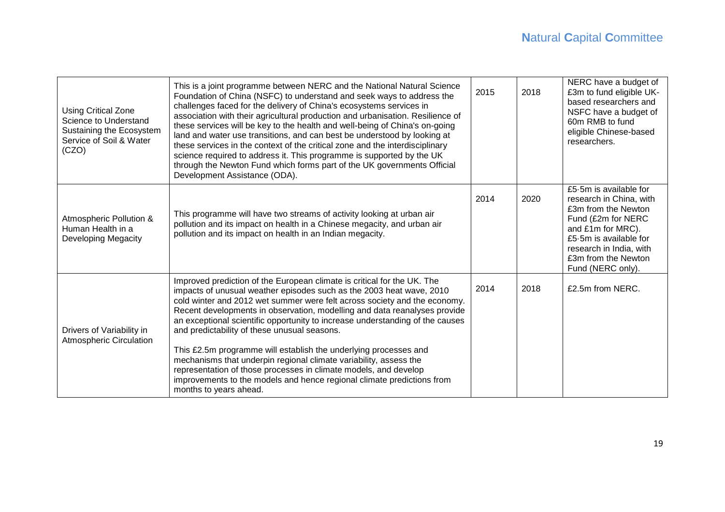| <b>Using Critical Zone</b><br>Science to Understand<br>Sustaining the Ecosystem<br>Service of Soil & Water<br>(CZO) | This is a joint programme between NERC and the National Natural Science<br>Foundation of China (NSFC) to understand and seek ways to address the<br>challenges faced for the delivery of China's ecosystems services in<br>association with their agricultural production and urbanisation. Resilience of<br>these services will be key to the health and well-being of China's on-going<br>land and water use transitions, and can best be understood by looking at<br>these services in the context of the critical zone and the interdisciplinary<br>science required to address it. This programme is supported by the UK<br>through the Newton Fund which forms part of the UK governments Official<br>Development Assistance (ODA).                   | 2015 | 2018 | NERC have a budget of<br>£3m to fund eligible UK-<br>based researchers and<br>NSFC have a budget of<br>60m RMB to fund<br>eligible Chinese-based<br>researchers.                                                     |
|---------------------------------------------------------------------------------------------------------------------|-------------------------------------------------------------------------------------------------------------------------------------------------------------------------------------------------------------------------------------------------------------------------------------------------------------------------------------------------------------------------------------------------------------------------------------------------------------------------------------------------------------------------------------------------------------------------------------------------------------------------------------------------------------------------------------------------------------------------------------------------------------|------|------|----------------------------------------------------------------------------------------------------------------------------------------------------------------------------------------------------------------------|
| Atmospheric Pollution &<br>Human Health in a<br><b>Developing Megacity</b>                                          | This programme will have two streams of activity looking at urban air<br>pollution and its impact on health in a Chinese megacity, and urban air<br>pollution and its impact on health in an Indian megacity.                                                                                                                                                                                                                                                                                                                                                                                                                                                                                                                                               | 2014 | 2020 | £5.5m is available for<br>research in China, with<br>£3m from the Newton<br>Fund (£2m for NERC<br>and £1m for MRC).<br>£5.5m is available for<br>research in India, with<br>£3m from the Newton<br>Fund (NERC only). |
| Drivers of Variability in<br><b>Atmospheric Circulation</b>                                                         | Improved prediction of the European climate is critical for the UK. The<br>impacts of unusual weather episodes such as the 2003 heat wave, 2010<br>cold winter and 2012 wet summer were felt across society and the economy.<br>Recent developments in observation, modelling and data reanalyses provide<br>an exceptional scientific opportunity to increase understanding of the causes<br>and predictability of these unusual seasons.<br>This £2.5m programme will establish the underlying processes and<br>mechanisms that underpin regional climate variability, assess the<br>representation of those processes in climate models, and develop<br>improvements to the models and hence regional climate predictions from<br>months to years ahead. | 2014 | 2018 | £2.5m from NERC.                                                                                                                                                                                                     |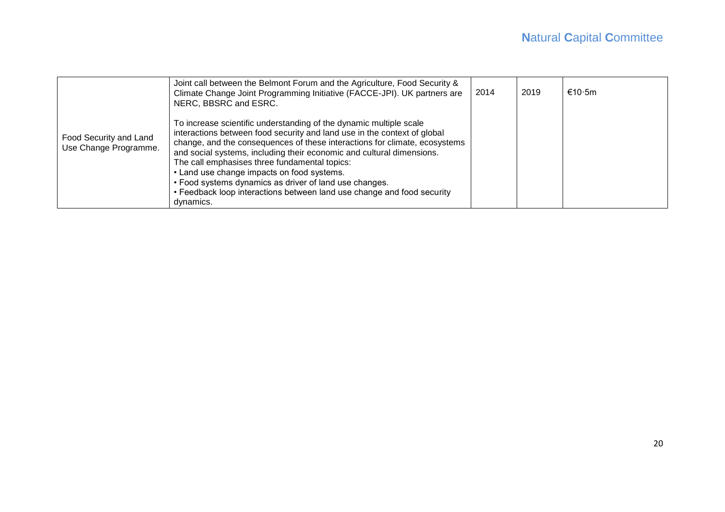|                                                 | Joint call between the Belmont Forum and the Agriculture, Food Security &<br>Climate Change Joint Programming Initiative (FACCE-JPI). UK partners are<br>NERC, BBSRC and ESRC.                                                                                                                                                                                                                                                                                                                                                                        | 2014 | 2019 | €10.5m |
|-------------------------------------------------|-------------------------------------------------------------------------------------------------------------------------------------------------------------------------------------------------------------------------------------------------------------------------------------------------------------------------------------------------------------------------------------------------------------------------------------------------------------------------------------------------------------------------------------------------------|------|------|--------|
| Food Security and Land<br>Use Change Programme. | To increase scientific understanding of the dynamic multiple scale<br>interactions between food security and land use in the context of global<br>change, and the consequences of these interactions for climate, ecosystems<br>and social systems, including their economic and cultural dimensions.<br>The call emphasises three fundamental topics:<br>• Land use change impacts on food systems.<br>• Food systems dynamics as driver of land use changes.<br>• Feedback loop interactions between land use change and food security<br>dynamics. |      |      |        |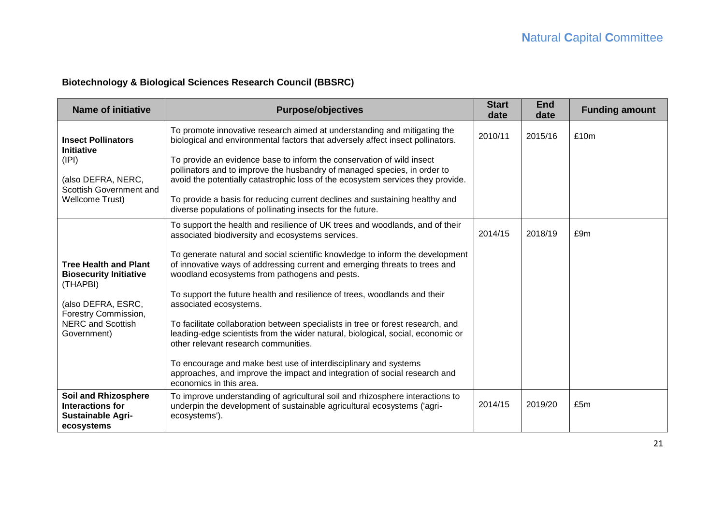# **Biotechnology & Biological Sciences Research Council (BBSRC)**

| <b>Name of initiative</b>                                                                                                                                          | <b>Purpose/objectives</b>                                                                                                                                                                                                                                                                                                                                                                                                                                                                                                                                                                                                                                                                                                                                                                                                                        | <b>Start</b><br>date | <b>End</b><br>date | <b>Funding amount</b> |
|--------------------------------------------------------------------------------------------------------------------------------------------------------------------|--------------------------------------------------------------------------------------------------------------------------------------------------------------------------------------------------------------------------------------------------------------------------------------------------------------------------------------------------------------------------------------------------------------------------------------------------------------------------------------------------------------------------------------------------------------------------------------------------------------------------------------------------------------------------------------------------------------------------------------------------------------------------------------------------------------------------------------------------|----------------------|--------------------|-----------------------|
| <b>Insect Pollinators</b><br>Initiative<br>(IPI)<br>(also DEFRA, NERC,<br>Scottish Government and<br><b>Wellcome Trust)</b>                                        | To promote innovative research aimed at understanding and mitigating the<br>biological and environmental factors that adversely affect insect pollinators.<br>To provide an evidence base to inform the conservation of wild insect<br>pollinators and to improve the husbandry of managed species, in order to<br>avoid the potentially catastrophic loss of the ecosystem services they provide.<br>To provide a basis for reducing current declines and sustaining healthy and<br>diverse populations of pollinating insects for the future.                                                                                                                                                                                                                                                                                                  | 2010/11              | 2015/16            | £10m                  |
| <b>Tree Health and Plant</b><br><b>Biosecurity Initiative</b><br>(THAPBI)<br>(also DEFRA, ESRC,<br>Forestry Commission,<br><b>NERC and Scottish</b><br>Government) | To support the health and resilience of UK trees and woodlands, and of their<br>associated biodiversity and ecosystems services.<br>To generate natural and social scientific knowledge to inform the development<br>of innovative ways of addressing current and emerging threats to trees and<br>woodland ecosystems from pathogens and pests.<br>To support the future health and resilience of trees, woodlands and their<br>associated ecosystems.<br>To facilitate collaboration between specialists in tree or forest research, and<br>leading-edge scientists from the wider natural, biological, social, economic or<br>other relevant research communities.<br>To encourage and make best use of interdisciplinary and systems<br>approaches, and improve the impact and integration of social research and<br>economics in this area. | 2014/15              | 2018/19            | £9m                   |
| <b>Soil and Rhizosphere</b><br>Interactions for<br><b>Sustainable Agri-</b><br>ecosystems                                                                          | To improve understanding of agricultural soil and rhizosphere interactions to<br>underpin the development of sustainable agricultural ecosystems ('agri-<br>ecosystems').                                                                                                                                                                                                                                                                                                                                                                                                                                                                                                                                                                                                                                                                        | 2014/15              | 2019/20            | £5m                   |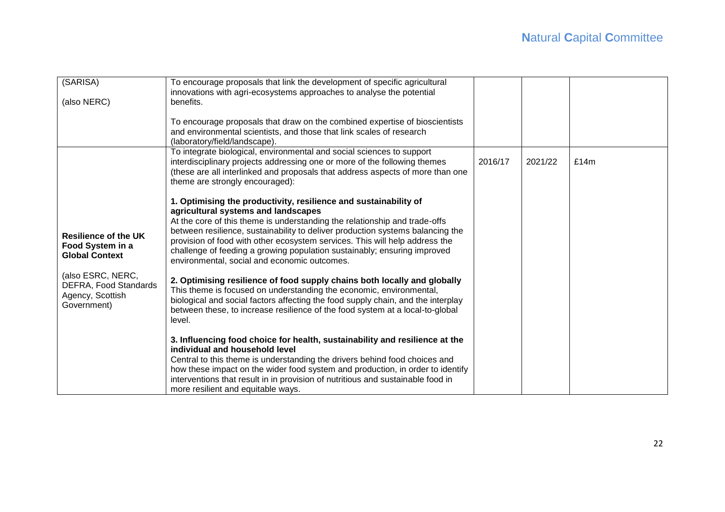| (SARISA)                                                                      | To encourage proposals that link the development of specific agricultural<br>innovations with agri-ecosystems approaches to analyse the potential                                                                                                                                                                                                                                                                                                                                  |         |         |      |
|-------------------------------------------------------------------------------|------------------------------------------------------------------------------------------------------------------------------------------------------------------------------------------------------------------------------------------------------------------------------------------------------------------------------------------------------------------------------------------------------------------------------------------------------------------------------------|---------|---------|------|
| (also NERC)                                                                   | benefits.                                                                                                                                                                                                                                                                                                                                                                                                                                                                          |         |         |      |
|                                                                               | To encourage proposals that draw on the combined expertise of bioscientists<br>and environmental scientists, and those that link scales of research<br>(laboratory/field/landscape).                                                                                                                                                                                                                                                                                               |         |         |      |
|                                                                               | To integrate biological, environmental and social sciences to support<br>interdisciplinary projects addressing one or more of the following themes<br>(these are all interlinked and proposals that address aspects of more than one<br>theme are strongly encouraged):                                                                                                                                                                                                            | 2016/17 | 2021/22 | £14m |
| <b>Resilience of the UK</b><br>Food System in a<br><b>Global Context</b>      | 1. Optimising the productivity, resilience and sustainability of<br>agricultural systems and landscapes<br>At the core of this theme is understanding the relationship and trade-offs<br>between resilience, sustainability to deliver production systems balancing the<br>provision of food with other ecosystem services. This will help address the<br>challenge of feeding a growing population sustainably; ensuring improved<br>environmental, social and economic outcomes. |         |         |      |
| (also ESRC, NERC,<br>DEFRA, Food Standards<br>Agency, Scottish<br>Government) | 2. Optimising resilience of food supply chains both locally and globally<br>This theme is focused on understanding the economic, environmental,<br>biological and social factors affecting the food supply chain, and the interplay<br>between these, to increase resilience of the food system at a local-to-global<br>level.                                                                                                                                                     |         |         |      |
|                                                                               | 3. Influencing food choice for health, sustainability and resilience at the<br>individual and household level<br>Central to this theme is understanding the drivers behind food choices and<br>how these impact on the wider food system and production, in order to identify<br>interventions that result in in provision of nutritious and sustainable food in<br>more resilient and equitable ways.                                                                             |         |         |      |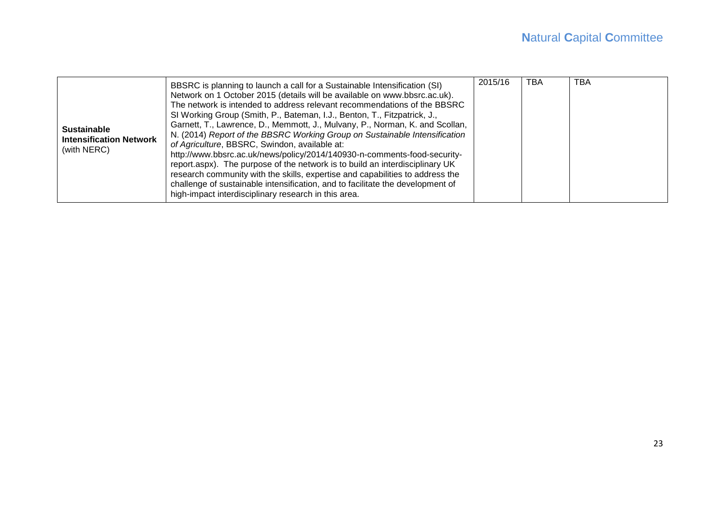| <b>Sustainable</b><br><b>Intensification Network</b><br>(with NERC) | BBSRC is planning to launch a call for a Sustainable Intensification (SI)<br>Network on 1 October 2015 (details will be available on www.bbsrc.ac.uk).<br>The network is intended to address relevant recommendations of the BBSRC<br>SI Working Group (Smith, P., Bateman, I.J., Benton, T., Fitzpatrick, J.,<br>Garnett, T., Lawrence, D., Memmott, J., Mulvany, P., Norman, K. and Scollan,<br>N. (2014) Report of the BBSRC Working Group on Sustainable Intensification<br>of Agriculture, BBSRC, Swindon, available at:<br>http://www.bbsrc.ac.uk/news/policy/2014/140930-n-comments-food-security-<br>report.aspx). The purpose of the network is to build an interdisciplinary UK<br>research community with the skills, expertise and capabilities to address the<br>challenge of sustainable intensification, and to facilitate the development of<br>high-impact interdisciplinary research in this area. | 2015/16 | TBA | ТВА |
|---------------------------------------------------------------------|----------------------------------------------------------------------------------------------------------------------------------------------------------------------------------------------------------------------------------------------------------------------------------------------------------------------------------------------------------------------------------------------------------------------------------------------------------------------------------------------------------------------------------------------------------------------------------------------------------------------------------------------------------------------------------------------------------------------------------------------------------------------------------------------------------------------------------------------------------------------------------------------------------------------|---------|-----|-----|
|---------------------------------------------------------------------|----------------------------------------------------------------------------------------------------------------------------------------------------------------------------------------------------------------------------------------------------------------------------------------------------------------------------------------------------------------------------------------------------------------------------------------------------------------------------------------------------------------------------------------------------------------------------------------------------------------------------------------------------------------------------------------------------------------------------------------------------------------------------------------------------------------------------------------------------------------------------------------------------------------------|---------|-----|-----|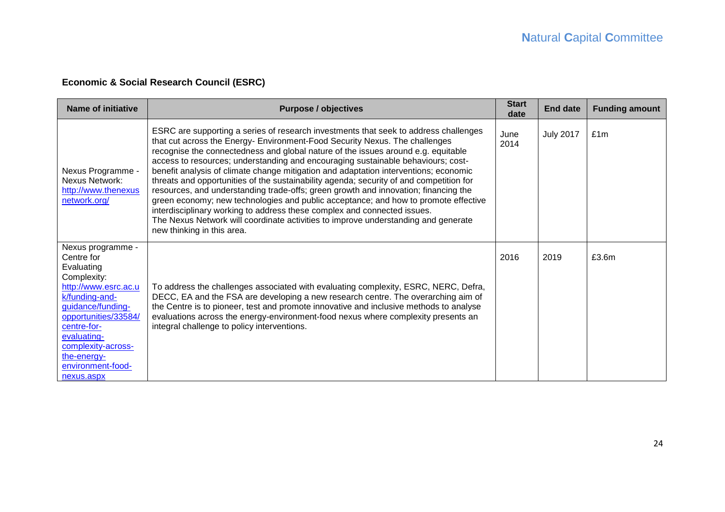# **Economic & Social Research Council (ESRC)**

| <b>Name of initiative</b>                                                                                                                                                                                                                                 | <b>Purpose / objectives</b>                                                                                                                                                                                                                                                                                                                                                                                                                                                                                                                                                                                                                                                                                                                                                                                                                                                                                   | <b>Start</b><br>date | <b>End date</b>  | <b>Funding amount</b> |
|-----------------------------------------------------------------------------------------------------------------------------------------------------------------------------------------------------------------------------------------------------------|---------------------------------------------------------------------------------------------------------------------------------------------------------------------------------------------------------------------------------------------------------------------------------------------------------------------------------------------------------------------------------------------------------------------------------------------------------------------------------------------------------------------------------------------------------------------------------------------------------------------------------------------------------------------------------------------------------------------------------------------------------------------------------------------------------------------------------------------------------------------------------------------------------------|----------------------|------------------|-----------------------|
| Nexus Programme -<br><b>Nexus Network:</b><br>http://www.thenexus<br>network.org/                                                                                                                                                                         | ESRC are supporting a series of research investments that seek to address challenges<br>that cut across the Energy- Environment-Food Security Nexus. The challenges<br>recognise the connectedness and global nature of the issues around e.g. equitable<br>access to resources; understanding and encouraging sustainable behaviours; cost-<br>benefit analysis of climate change mitigation and adaptation interventions; economic<br>threats and opportunities of the sustainability agenda; security of and competition for<br>resources, and understanding trade-offs; green growth and innovation; financing the<br>green economy; new technologies and public acceptance; and how to promote effective<br>interdisciplinary working to address these complex and connected issues.<br>The Nexus Network will coordinate activities to improve understanding and generate<br>new thinking in this area. | June<br>2014         | <b>July 2017</b> | £1m                   |
| Nexus programme -<br>Centre for<br>Evaluating<br>Complexity:<br>http://www.esrc.ac.u<br>k/funding-and-<br>guidance/funding-<br>opportunities/33584/<br>centre-for-<br>evaluating-<br>complexity-across-<br>the-energy-<br>environment-food-<br>nexus.aspx | To address the challenges associated with evaluating complexity, ESRC, NERC, Defra,<br>DECC, EA and the FSA are developing a new research centre. The overarching aim of<br>the Centre is to pioneer, test and promote innovative and inclusive methods to analyse<br>evaluations across the energy-environment-food nexus where complexity presents an<br>integral challenge to policy interventions.                                                                                                                                                                                                                                                                                                                                                                                                                                                                                                        | 2016                 | 2019             | £3.6m                 |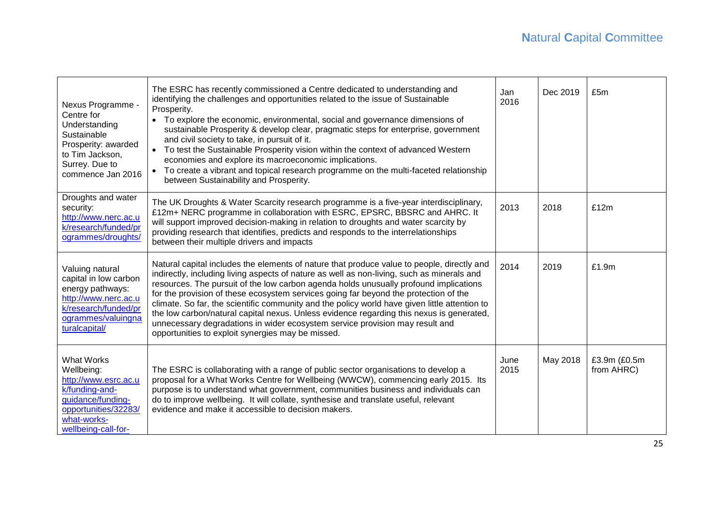| Nexus Programme -<br>Centre for<br>Understanding<br>Sustainable<br>Prosperity: awarded<br>to Tim Jackson,<br>Surrey. Due to<br>commence Jan 2016             | The ESRC has recently commissioned a Centre dedicated to understanding and<br>identifying the challenges and opportunities related to the issue of Sustainable<br>Prosperity.<br>• To explore the economic, environmental, social and governance dimensions of<br>sustainable Prosperity & develop clear, pragmatic steps for enterprise, government<br>and civil society to take, in pursuit of it.<br>• To test the Sustainable Prosperity vision within the context of advanced Western<br>economies and explore its macroeconomic implications.<br>• To create a vibrant and topical research programme on the multi-faceted relationship<br>between Sustainability and Prosperity.                     | Jan<br>2016  | Dec 2019 | £5m                        |
|--------------------------------------------------------------------------------------------------------------------------------------------------------------|-------------------------------------------------------------------------------------------------------------------------------------------------------------------------------------------------------------------------------------------------------------------------------------------------------------------------------------------------------------------------------------------------------------------------------------------------------------------------------------------------------------------------------------------------------------------------------------------------------------------------------------------------------------------------------------------------------------|--------------|----------|----------------------------|
| Droughts and water<br>security:<br>http://www.nerc.ac.u<br>k/research/funded/pr<br>ogrammes/droughts/                                                        | The UK Droughts & Water Scarcity research programme is a five-year interdisciplinary,<br>£12m+ NERC programme in collaboration with ESRC, EPSRC, BBSRC and AHRC. It<br>will support improved decision-making in relation to droughts and water scarcity by<br>providing research that identifies, predicts and responds to the interrelationships<br>between their multiple drivers and impacts                                                                                                                                                                                                                                                                                                             | 2013         | 2018     | £12m                       |
| Valuing natural<br>capital in low carbon<br>energy pathways:<br>http://www.nerc.ac.u<br>k/research/funded/pr<br>ogrammes/valuingna<br>turalcapital/          | Natural capital includes the elements of nature that produce value to people, directly and<br>indirectly, including living aspects of nature as well as non-living, such as minerals and<br>resources. The pursuit of the low carbon agenda holds unusually profound implications<br>for the provision of these ecosystem services going far beyond the protection of the<br>climate. So far, the scientific community and the policy world have given little attention to<br>the low carbon/natural capital nexus. Unless evidence regarding this nexus is generated,<br>unnecessary degradations in wider ecosystem service provision may result and<br>opportunities to exploit synergies may be missed. | 2014         | 2019     | £1.9m                      |
| <b>What Works</b><br>Wellbeing:<br>http://www.esrc.ac.u<br>k/funding-and-<br>guidance/funding-<br>opportunities/32283/<br>what-works-<br>wellbeing-call-for- | The ESRC is collaborating with a range of public sector organisations to develop a<br>proposal for a What Works Centre for Wellbeing (WWCW), commencing early 2015. Its<br>purpose is to understand what government, communities business and individuals can<br>do to improve wellbeing. It will collate, synthesise and translate useful, relevant<br>evidence and make it accessible to decision makers.                                                                                                                                                                                                                                                                                                 | June<br>2015 | May 2018 | £3.9m (£0.5m<br>from AHRC) |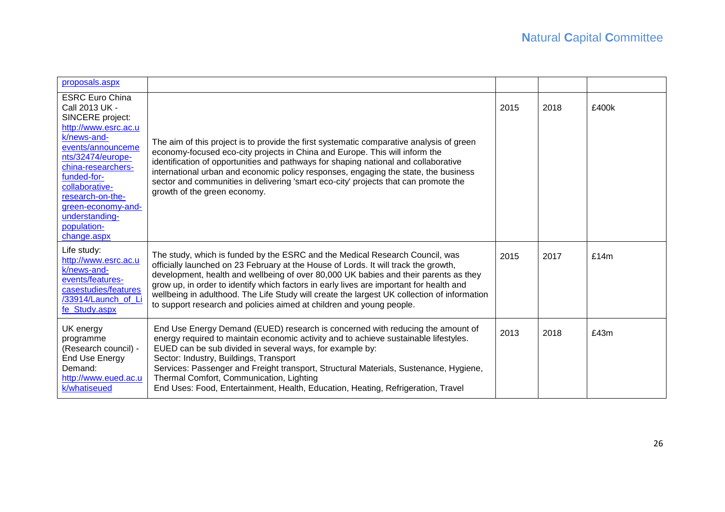| proposals.aspx                                                                                                                                                                                                                                                                                 |                                                                                                                                                                                                                                                                                                                                                                                                                                                                                                                               |      |      |       |
|------------------------------------------------------------------------------------------------------------------------------------------------------------------------------------------------------------------------------------------------------------------------------------------------|-------------------------------------------------------------------------------------------------------------------------------------------------------------------------------------------------------------------------------------------------------------------------------------------------------------------------------------------------------------------------------------------------------------------------------------------------------------------------------------------------------------------------------|------|------|-------|
| <b>ESRC Euro China</b><br>Call 2013 UK -<br>SINCERE project:<br>http://www.esrc.ac.u<br>k/news-and-<br>events/announceme<br>nts/32474/europe-<br>china-researchers-<br>funded-for-<br>collaborative-<br>research-on-the-<br>green-economy-and-<br>understanding-<br>population-<br>change.aspx | The aim of this project is to provide the first systematic comparative analysis of green<br>economy-focused eco-city projects in China and Europe. This will inform the<br>identification of opportunities and pathways for shaping national and collaborative<br>international urban and economic policy responses, engaging the state, the business<br>sector and communities in delivering 'smart eco-city' projects that can promote the<br>growth of the green economy.                                                  | 2015 | 2018 | £400k |
| Life study:<br>http://www.esrc.ac.u<br>k/news-and-<br>events/features-<br>casestudies/features<br>/33914/Launch of Li<br>fe_Study.aspx                                                                                                                                                         | The study, which is funded by the ESRC and the Medical Research Council, was<br>officially launched on 23 February at the House of Lords. It will track the growth,<br>development, health and wellbeing of over 80,000 UK babies and their parents as they<br>grow up, in order to identify which factors in early lives are important for health and<br>wellbeing in adulthood. The Life Study will create the largest UK collection of information<br>to support research and policies aimed at children and young people. | 2015 | 2017 | £14m  |
| UK energy<br>programme<br>(Research council) -<br><b>End Use Energy</b><br>Demand:<br>http://www.eued.ac.u<br>k/whatiseued                                                                                                                                                                     | End Use Energy Demand (EUED) research is concerned with reducing the amount of<br>energy required to maintain economic activity and to achieve sustainable lifestyles.<br>EUED can be sub divided in several ways, for example by:<br>Sector: Industry, Buildings, Transport<br>Services: Passenger and Freight transport, Structural Materials, Sustenance, Hygiene,<br>Thermal Comfort, Communication, Lighting<br>End Uses: Food, Entertainment, Health, Education, Heating, Refrigeration, Travel                         | 2013 | 2018 | £43m  |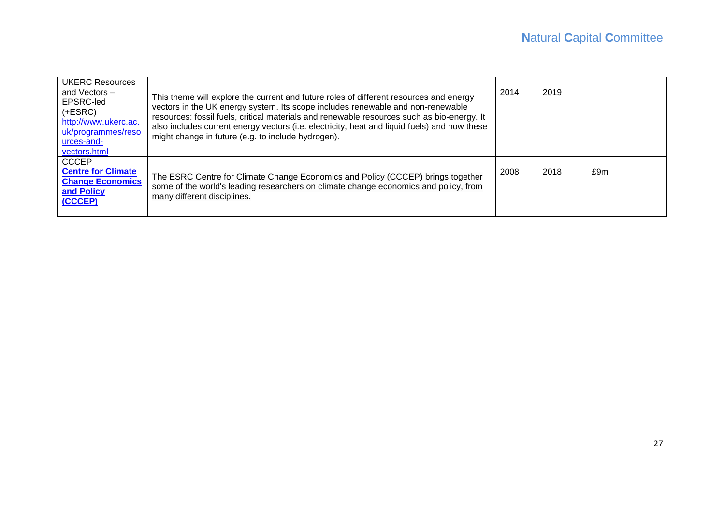| <b>UKERC Resources</b><br>and Vectors -<br>EPSRC-led<br>$(+ESRC)$<br>http://www.ukerc.ac.<br>uk/programmes/reso<br>urces-and-<br>vectors.html | This theme will explore the current and future roles of different resources and energy<br>vectors in the UK energy system. Its scope includes renewable and non-renewable<br>resources: fossil fuels, critical materials and renewable resources such as bio-energy. It<br>also includes current energy vectors (i.e. electricity, heat and liquid fuels) and how these<br>might change in future (e.g. to include hydrogen). | 2014 | 2019 |     |
|-----------------------------------------------------------------------------------------------------------------------------------------------|-------------------------------------------------------------------------------------------------------------------------------------------------------------------------------------------------------------------------------------------------------------------------------------------------------------------------------------------------------------------------------------------------------------------------------|------|------|-----|
| <b>CCCEP</b><br><b>Centre for Climate</b><br><b>Change Economics</b><br>and Policy<br>(CCCEP)                                                 | The ESRC Centre for Climate Change Economics and Policy (CCCEP) brings together<br>some of the world's leading researchers on climate change economics and policy, from<br>many different disciplines.                                                                                                                                                                                                                        | 2008 | 2018 | £9m |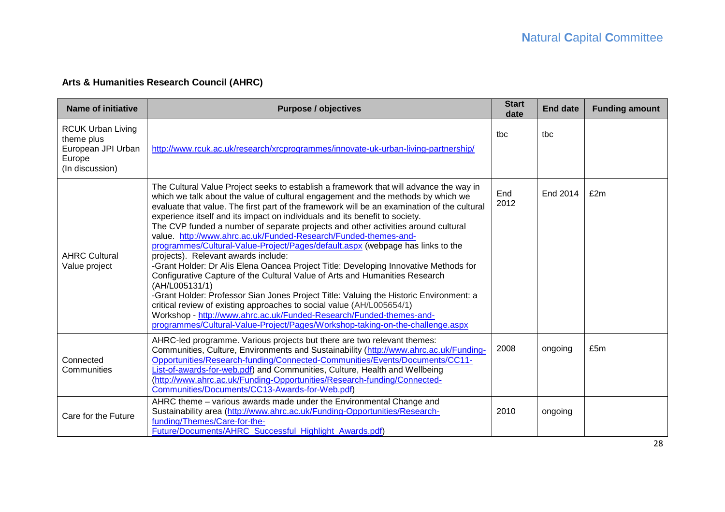# **Arts & Humanities Research Council (AHRC)**

| <b>Name of initiative</b>                                                                 | <b>Purpose / objectives</b>                                                                                                                                                                                                                                                                                                                                                                                                                                                                                                                                                                                                                                                                                                                                                                                                                                                                                                                                                                                                                                                                                                                                   | <b>Start</b><br>date | <b>End date</b> | <b>Funding amount</b> |
|-------------------------------------------------------------------------------------------|---------------------------------------------------------------------------------------------------------------------------------------------------------------------------------------------------------------------------------------------------------------------------------------------------------------------------------------------------------------------------------------------------------------------------------------------------------------------------------------------------------------------------------------------------------------------------------------------------------------------------------------------------------------------------------------------------------------------------------------------------------------------------------------------------------------------------------------------------------------------------------------------------------------------------------------------------------------------------------------------------------------------------------------------------------------------------------------------------------------------------------------------------------------|----------------------|-----------------|-----------------------|
| <b>RCUK Urban Living</b><br>theme plus<br>European JPI Urban<br>Europe<br>(In discussion) | http://www.rcuk.ac.uk/research/xrcprogrammes/innovate-uk-urban-living-partnership/                                                                                                                                                                                                                                                                                                                                                                                                                                                                                                                                                                                                                                                                                                                                                                                                                                                                                                                                                                                                                                                                            | tbc                  | tbc             |                       |
| <b>AHRC Cultural</b><br>Value project                                                     | The Cultural Value Project seeks to establish a framework that will advance the way in<br>which we talk about the value of cultural engagement and the methods by which we<br>evaluate that value. The first part of the framework will be an examination of the cultural<br>experience itself and its impact on individuals and its benefit to society.<br>The CVP funded a number of separate projects and other activities around cultural<br>value. http://www.ahrc.ac.uk/Funded-Research/Funded-themes-and-<br>programmes/Cultural-Value-Project/Pages/default.aspx (webpage has links to the<br>projects). Relevant awards include:<br>-Grant Holder: Dr Alis Elena Oancea Project Title: Developing Innovative Methods for<br>Configurative Capture of the Cultural Value of Arts and Humanities Research<br>(AH/L005131/1)<br>-Grant Holder: Professor Sian Jones Project Title: Valuing the Historic Environment: a<br>critical review of existing approaches to social value (AH/L005654/1)<br>Workshop - http://www.ahrc.ac.uk/Funded-Research/Funded-themes-and-<br>programmes/Cultural-Value-Project/Pages/Workshop-taking-on-the-challenge.aspx | End<br>2012          | End 2014        | £2m                   |
| Connected<br>Communities                                                                  | AHRC-led programme. Various projects but there are two relevant themes:<br>Communities, Culture, Environments and Sustainability (http://www.ahrc.ac.uk/Funding-<br>Opportunities/Research-funding/Connected-Communities/Events/Documents/CC11-<br>List-of-awards-for-web.pdf) and Communities, Culture, Health and Wellbeing<br>(http://www.ahrc.ac.uk/Funding-Opportunities/Research-funding/Connected-<br>Communities/Documents/CC13-Awards-for-Web.pdf)                                                                                                                                                                                                                                                                                                                                                                                                                                                                                                                                                                                                                                                                                                   | 2008                 | ongoing         | £5m                   |
| Care for the Future                                                                       | AHRC theme - various awards made under the Environmental Change and<br>Sustainability area (http://www.ahrc.ac.uk/Funding-Opportunities/Research-<br>funding/Themes/Care-for-the-<br>Future/Documents/AHRC_Successful_Highlight_Awards.pdf)                                                                                                                                                                                                                                                                                                                                                                                                                                                                                                                                                                                                                                                                                                                                                                                                                                                                                                                   | 2010                 | ongoing         |                       |